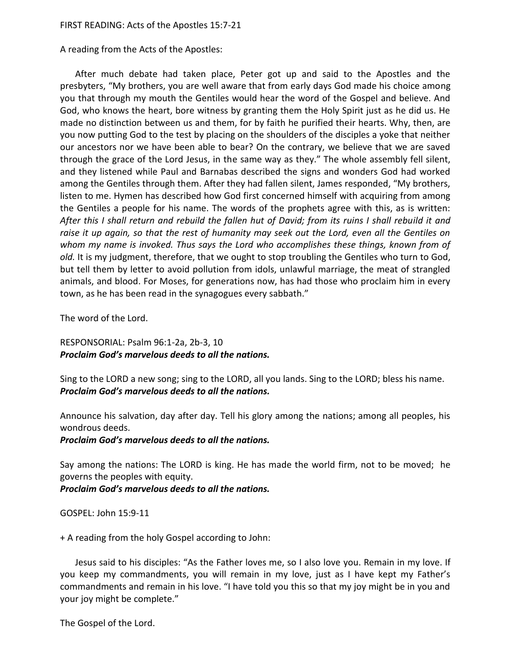## FIRST READING: Acts of the Apostles 15:7-21

A reading from the Acts of the Apostles:

After much debate had taken place, Peter got up and said to the Apostles and the presbyters, "My brothers, you are well aware that from early days God made his choice among you that through my mouth the Gentiles would hear the word of the Gospel and believe. And God, who knows the heart, bore witness by granting them the Holy Spirit just as he did us. He made no distinction between us and them, for by faith he purified their hearts. Why, then, are you now putting God to the test by placing on the shoulders of the disciples a yoke that neither our ancestors nor we have been able to bear? On the contrary, we believe that we are saved through the grace of the Lord Jesus, in the same way as they." The whole assembly fell silent, and they listened while Paul and Barnabas described the signs and wonders God had worked among the Gentiles through them. After they had fallen silent, James responded, "My brothers, listen to me. Hymen has described how God first concerned himself with acquiring from among the Gentiles a people for his name. The words of the prophets agree with this, as is written: *After this I shall return and rebuild the fallen hut of David; from its ruins I shall rebuild it and raise it up again, so that the rest of humanity may seek out the Lord, even all the Gentiles on whom my name is invoked. Thus says the Lord who accomplishes these things, known from of old.* It is my judgment, therefore, that we ought to stop troubling the Gentiles who turn to God, but tell them by letter to avoid pollution from idols, unlawful marriage, the meat of strangled animals, and blood. For Moses, for generations now, has had those who proclaim him in every town, as he has been read in the synagogues every sabbath."

The word of the Lord.

RESPONSORIAL: Psalm 96:1-2a, 2b-3, 10 *Proclaim God's marvelous deeds to all the nations.*

Sing to the LORD a new song; sing to the LORD, all you lands. Sing to the LORD; bless his name. *Proclaim God's marvelous deeds to all the nations.*

Announce his salvation, day after day. Tell his glory among the nations; among all peoples, his wondrous deeds.

*Proclaim God's marvelous deeds to all the nations.*

Say among the nations: The LORD is king. He has made the world firm, not to be moved; he governs the peoples with equity.

*Proclaim God's marvelous deeds to all the nations.*

GOSPEL: John 15:9-11

+ A reading from the holy Gospel according to John:

Jesus said to his disciples: "As the Father loves me, so I also love you. Remain in my love. If you keep my commandments, you will remain in my love, just as I have kept my Father's commandments and remain in his love. "I have told you this so that my joy might be in you and your joy might be complete."

The Gospel of the Lord.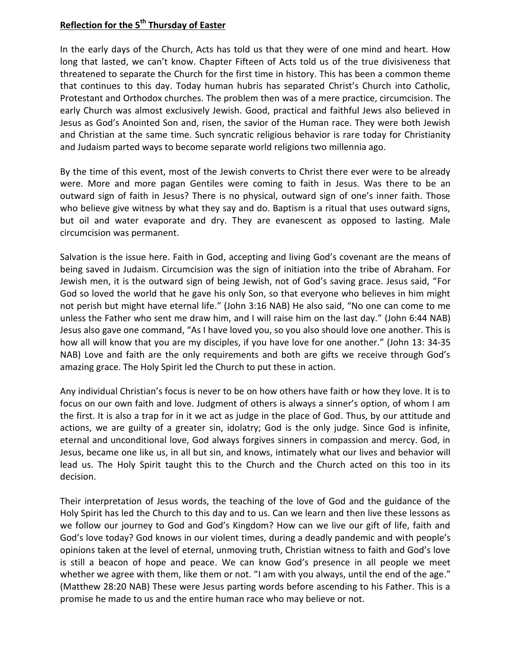## **Reflection for the 5th Thursday of Easter**

In the early days of the Church, Acts has told us that they were of one mind and heart. How long that lasted, we can't know. Chapter Fifteen of Acts told us of the true divisiveness that threatened to separate the Church for the first time in history. This has been a common theme that continues to this day. Today human hubris has separated Christ's Church into Catholic, Protestant and Orthodox churches. The problem then was of a mere practice, circumcision. The early Church was almost exclusively Jewish. Good, practical and faithful Jews also believed in Jesus as God's Anointed Son and, risen, the savior of the Human race. They were both Jewish and Christian at the same time. Such syncratic religious behavior is rare today for Christianity and Judaism parted ways to become separate world religions two millennia ago.

By the time of this event, most of the Jewish converts to Christ there ever were to be already were. More and more pagan Gentiles were coming to faith in Jesus. Was there to be an outward sign of faith in Jesus? There is no physical, outward sign of one's inner faith. Those who believe give witness by what they say and do. Baptism is a ritual that uses outward signs, but oil and water evaporate and dry. They are evanescent as opposed to lasting. Male circumcision was permanent.

Salvation is the issue here. Faith in God, accepting and living God's covenant are the means of being saved in Judaism. Circumcision was the sign of initiation into the tribe of Abraham. For Jewish men, it is the outward sign of being Jewish, not of God's saving grace. Jesus said, "For God so loved the world that he gave his only Son, so that everyone who believes in him might not perish but might have eternal life." (John 3:16 NAB) He also said, "No one can come to me unless the Father who sent me draw him, and I will raise him on the last day." (John 6:44 NAB) Jesus also gave one command, "As I have loved you, so you also should love one another. This is how all will know that you are my disciples, if you have love for one another." (John 13: 34-35 NAB) Love and faith are the only requirements and both are gifts we receive through God's amazing grace. The Holy Spirit led the Church to put these in action.

Any individual Christian's focus is never to be on how others have faith or how they love. It is to focus on our own faith and love. Judgment of others is always a sinner's option, of whom I am the first. It is also a trap for in it we act as judge in the place of God. Thus, by our attitude and actions, we are guilty of a greater sin, idolatry; God is the only judge. Since God is infinite, eternal and unconditional love, God always forgives sinners in compassion and mercy. God, in Jesus, became one like us, in all but sin, and knows, intimately what our lives and behavior will lead us. The Holy Spirit taught this to the Church and the Church acted on this too in its decision.

Their interpretation of Jesus words, the teaching of the love of God and the guidance of the Holy Spirit has led the Church to this day and to us. Can we learn and then live these lessons as we follow our journey to God and God's Kingdom? How can we live our gift of life, faith and God's love today? God knows in our violent times, during a deadly pandemic and with people's opinions taken at the level of eternal, unmoving truth, Christian witness to faith and God's love is still a beacon of hope and peace. We can know God's presence in all people we meet whether we agree with them, like them or not. "I am with you always, until the end of the age." (Matthew 28:20 NAB) These were Jesus parting words before ascending to his Father. This is a promise he made to us and the entire human race who may believe or not.